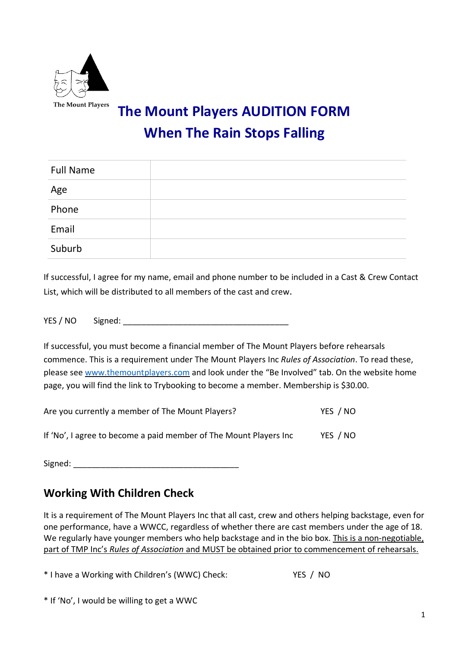

# **The Mount Players AUDITION FORM When The Rain Stops Falling**

| <b>Full Name</b> |  |
|------------------|--|
| Age              |  |
| Phone            |  |
| Email            |  |
| Suburb           |  |

If successful, I agree for my name, email and phone number to be included in a Cast & Crew Contact List, which will be distributed to all members of the cast and crew.

YES / NO Signed:  $\blacksquare$ 

If successful, you must become a financial member of The Mount Players before rehearsals commence. This is a requirement under The Mount Players Inc *Rules of Association*. To read these, please see [www.themountplayers.com](http://www.themountplayers.com/) and look under the "Be Involved" tab. On the website home page, you will find the link to Trybooking to become a member. Membership is \$30.00.

| Are you currently a member of The Mount Players?                  | YES / NO |
|-------------------------------------------------------------------|----------|
| If 'No', I agree to become a paid member of The Mount Players Inc | YES / NO |

Signed:

# **Working With Children Check**

It is a requirement of The Mount Players Inc that all cast, crew and others helping backstage, even for one performance, have a WWCC, regardless of whether there are cast members under the age of 18. We regularly have younger members who help backstage and in the bio box. This is a non-negotiable, part of TMP Inc's *Rules of Association* and MUST be obtained prior to commencement of rehearsals.

\* I have a Working with Children's (WWC) Check: YES / NO

\* If 'No', I would be willing to get a WWC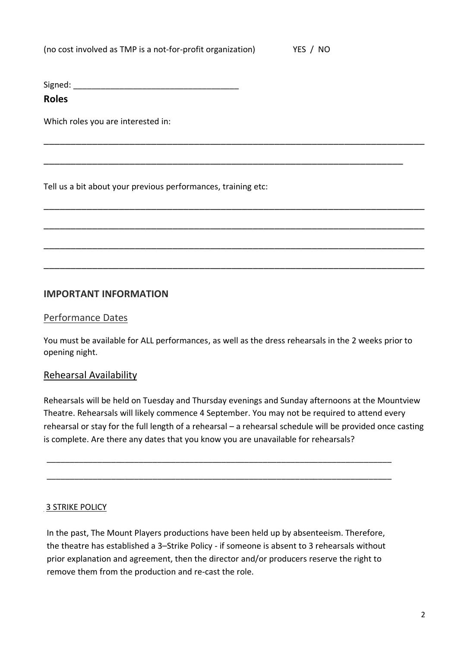| (no cost involved as TMP is a not-for-profit organization) | YES / NO |
|------------------------------------------------------------|----------|
|------------------------------------------------------------|----------|

Signed:

#### **Roles**

Which roles you are interested in:

Tell us a bit about your previous performances, training etc:

### **IMPORTANT INFORMATION**

#### Performance Dates

You must be available for ALL performances, as well as the dress rehearsals in the 2 weeks prior to opening night.

\_\_\_\_\_\_\_\_\_\_\_\_\_\_\_\_\_\_\_\_\_\_\_\_\_\_\_\_\_\_\_\_\_\_\_\_\_\_\_\_\_\_\_\_\_\_\_\_\_\_\_\_\_\_\_\_\_\_\_\_\_\_\_\_\_\_\_\_\_\_\_

\_\_\_\_\_\_\_\_\_\_\_\_\_\_\_\_\_\_\_\_\_\_\_\_\_\_\_\_\_\_\_\_\_\_\_\_\_\_\_\_\_\_\_\_\_\_\_\_\_\_\_\_\_\_\_\_\_\_\_\_\_\_\_\_\_\_\_\_\_\_\_

\_\_\_\_\_\_\_\_\_\_\_\_\_\_\_\_\_\_\_\_\_\_\_\_\_\_\_\_\_\_\_\_\_\_\_\_\_\_\_\_\_\_\_\_\_\_\_\_\_\_\_\_\_\_\_\_\_\_\_\_\_\_\_\_\_\_\_\_\_\_\_

\_\_\_\_\_\_\_\_\_\_\_\_\_\_\_\_\_\_\_\_\_\_\_\_\_\_\_\_\_\_\_\_\_\_\_\_\_\_\_\_\_\_\_\_\_\_\_\_\_\_\_\_\_\_\_\_\_\_\_\_\_\_\_\_\_\_\_\_\_\_\_

\_\_\_\_\_\_\_\_\_\_\_\_\_\_\_\_\_\_\_\_\_\_\_\_\_\_\_\_\_\_\_\_\_\_\_\_\_\_\_\_\_\_\_\_\_\_\_\_\_\_\_\_\_\_\_\_\_\_\_\_\_\_\_\_\_\_\_\_\_\_\_

\_\_\_\_\_\_\_\_\_\_\_\_\_\_\_\_\_\_\_\_\_\_\_\_\_\_\_\_\_\_\_\_\_\_\_\_\_\_\_\_\_\_\_\_\_\_\_\_\_\_\_\_\_\_\_\_\_\_\_\_\_\_\_\_\_\_\_

#### Rehearsal Availability

Rehearsals will be held on Tuesday and Thursday evenings and Sunday afternoons at the Mountview Theatre. Rehearsals will likely commence 4 September. You may not be required to attend every rehearsal or stay for the full length of a rehearsal – a rehearsal schedule will be provided once casting is complete. Are there any dates that you know you are unavailable for rehearsals?

#### 3 STRIKE POLICY

In the past, The Mount Players productions have been held up by absenteeism. Therefore, the theatre has established a 3–Strike Policy - if someone is absent to 3 rehearsals without prior explanation and agreement, then the director and/or producers reserve the right to remove them from the production and re-cast the role.

\_\_\_\_\_\_\_\_\_\_\_\_\_\_\_\_\_\_\_\_\_\_\_\_\_\_\_\_\_\_\_\_\_\_\_\_\_\_\_\_\_\_\_\_\_\_\_\_\_\_\_\_\_\_\_\_\_\_\_\_\_\_\_\_\_\_\_\_\_\_\_\_\_\_\_

\_\_\_\_\_\_\_\_\_\_\_\_\_\_\_\_\_\_\_\_\_\_\_\_\_\_\_\_\_\_\_\_\_\_\_\_\_\_\_\_\_\_\_\_\_\_\_\_\_\_\_\_\_\_\_\_\_\_\_\_\_\_\_\_\_\_\_\_\_\_\_\_\_\_\_